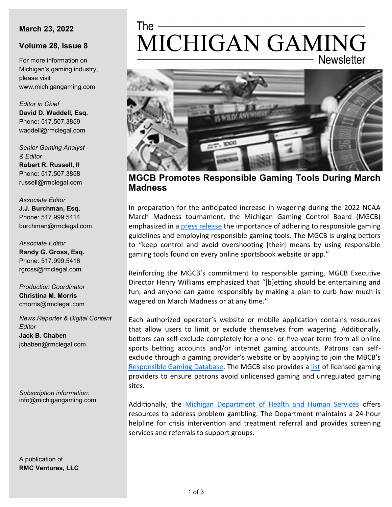#### **March 23, 2022**

### **Volume 28, Issue 8**

For more information on Michigan's gaming industry, please visit www.michigangaming.com

*Editor in Chief* **David D. Waddell, Esq.** Phone: 517.507.3859 waddell@rmclegal.com

*Senior Gaming Analyst & Editor* **Robert R. Russell, II** Phone: 517.507.3858

russell@rmclegal.com *Associate Editor*

**J.J. Burchman, Esq.** Phone: 517.999.5414 burchman@rmclegal.com

*Associate Editor* **Randy G. Gross, Esq.** Phone: 517.999.5416 rgross@rmclegal.com

*Production Coordinator* **Christina M. Morris** cmorris@rmclegal.com

*News Reporter & Digital Content Editor* **Jack B. Chaben** jchaben@rmclegal.com

*Subscription information:* info@michigangaming.com

A publication of **RMC Ventures, LLC**

# The -MICHIGAN GAMING **Newsletter**



**MGCB Promotes Responsible Gaming Tools During March Madness**

In preparation for the anticipated increase in wagering during the 2022 NCAA March Madness tournament, the Michigan Gaming Control Board (MGCB) emphasized in a [press release](https://content.govdelivery.com/accounts/MIGCB/bulletins/30ebfbb) the importance of adhering to responsible gaming guidelines and employing responsible gaming tools. The MGCB is urging bettors to "keep control and avoid overshooting [their] means by using responsible gaming tools found on every online sportsbook website or app."

Reinforcing the MGCB's commitment to responsible gaming, MGCB Executive Director Henry Williams emphasized that "[b]etting should be entertaining and fun, and anyone can game responsibly by making a plan to curb how much is wagered on March Madness or at any time."

Each authorized operator's website or mobile application contains resources that allow users to limit or exclude themselves from wagering. Additionally, bettors can self-exclude completely for a one- or five-year term from all online sports betting accounts and/or internet gaming accounts. Patrons can selfexclude through a gaming provider's website or by applying to join the MBCB's [Responsible Gaming Database.](https://content.govdelivery.com/accounts/MIGCB/bulletins/30ebfbb) The MGCB also provides a [list](https://www.michigan.gov/-/media/Project/Websites/mgcb/Disassociated-Persons-Forms/Internet-Gaming-and-Sports-Betting-Responsible-Gaming-Database-Application.pdf?rev=75a2561f914843a78807bc85085202ad) of licensed gaming providers to ensure patrons avoid unlicensed gaming and unregulated gaming sites.

Additionally, the [Michigan Department of Health and Human Services](https://www.michigan.gov/mdhhs/0,5885,7-339-71550_2941_74002---,00.html) offers resources to address problem gambling. The Department maintains a 24-hour helpline for crisis intervention and treatment referral and provides screening services and referrals to support groups.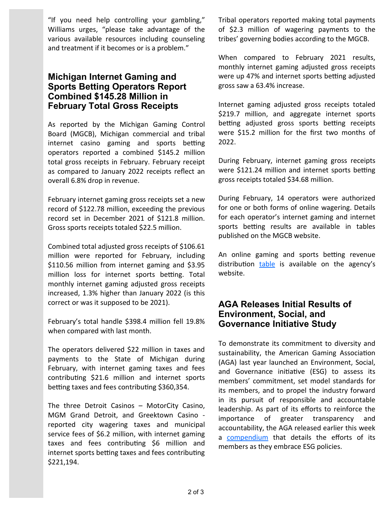"If you need help controlling your gambling," Williams urges, "please take advantage of the various available resources including counseling and treatment if it becomes or is a problem."

## **Michigan Internet Gaming and Sports Betting Operators Report Combined \$145.28 Million in February Total Gross Receipts**

As reported by the Michigan Gaming Control Board (MGCB), Michigan commercial and tribal internet casino gaming and sports betting operators reported a combined \$145.2 million total gross receipts in February. February receipt as compared to January 2022 receipts reflect an overall 6.8% drop in revenue.

February internet gaming gross receipts set a new record of \$122.78 million, exceeding the previous record set in December 2021 of \$121.8 million. Gross sports receipts totaled \$22.5 million.

Combined total adjusted gross receipts of \$106.61 million were reported for February, including \$110.56 million from internet gaming and \$3.95 million loss for internet sports betting. Total monthly internet gaming adjusted gross receipts increased, 1.3% higher than January 2022 (is this correct or was it supposed to be 2021).

February's total handle \$398.4 million fell 19.8% when compared with last month.

The operators delivered \$22 million in taxes and payments to the State of Michigan during February, with internet gaming taxes and fees contributing \$21.6 million and internet sports betting taxes and fees contributing \$360,354.

The three Detroit Casinos – MotorCity Casino, MGM Grand Detroit, and Greektown Casino reported city wagering taxes and municipal service fees of \$6.2 million, with internet gaming taxes and fees contributing \$6 million and internet sports betting taxes and fees contributing \$221,194.

Tribal operators reported making total payments of \$2.3 million of wagering payments to the tribes' governing bodies according to the MGCB.

When compared to February 2021 results, monthly internet gaming adjusted gross receipts were up 47% and internet sports betting adjusted gross saw a 63.4% increase.

Internet gaming adjusted gross receipts totaled \$219.7 million, and aggregate internet sports betting adjusted gross sports betting receipts were \$15.2 million for the first two months of 2022.

During February, internet gaming gross receipts were \$121.24 million and internet sports betting gross receipts totaled \$34.68 million.

During February, 14 operators were authorized for one or both forms of online wagering. Details for each operator's internet gaming and internet sports betting results are available in tables published on the MGCB website.

An online gaming and sports betting revenue distribution [table](https://www.michigan.gov/-/media/Project/Websites/mgcb/Detroit-Casinos/Revenues/Distribution/iGaming_Sports_Betting_Fantasy_Sports_tax_revenue_distribution_chart.pdf?rev=acc52f447eb947a39b98f3f23f57d382) is available on the agency's website.

## **AGA Releases Initial Results of Environment, Social, and Governance Initiative Study**

To demonstrate its commitment to diversity and sustainability, the American Gaming Association (AGA) last year launched an Environment, Social, and Governance initiative (ESG) to assess its members' commitment, set model standards for its members, and to propel the industry forward in its pursuit of responsible and accountable leadership. As part of its efforts to reinforce the importance of greater transparency and accountability, the AGA released earlier this week a [compendium](https://www.americangaming.org/wp-content/uploads/2022/03/AGA_ESGCompendiumSpring22.pdf) that details the efforts of its members as they embrace ESG policies.